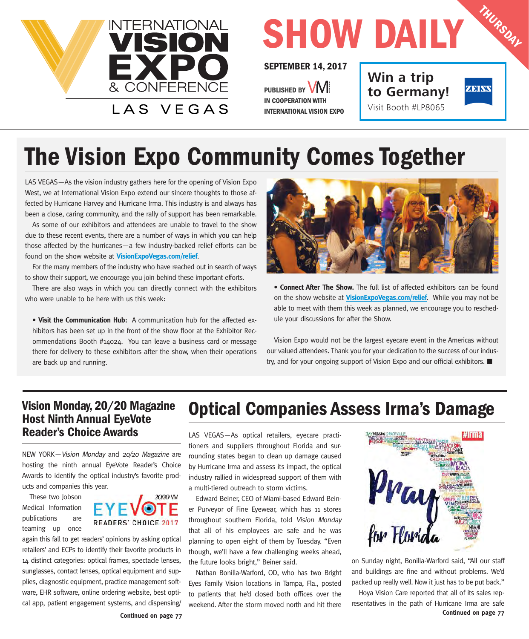

# **SHOW DAILY**

#### **SEPTEMBER 14, 2017**

PUBLISHED BY **VIVI IN COOPERATION WITH INTERNATIONAL VISION EXPO** **Win a trip to Germany!** Visit Booth #LP8065



**THURSDAY**

### **The Vision Expo Community Comes Together**

LAS VEGAS—As the vision industry gathers here for the opening of Vision Expo West, we at International Vision Expo extend our sincere thoughts to those affected by Hurricane Harvey and Hurricane Irma. This industry is and always has been a close, caring community, and the rally of support has been remarkable.

As some of our exhibitors and attendees are unable to travel to the show due to these recent events, there are a number of ways in which you can help those affected by the hurricanes—a few industry-backed relief efforts can be found on the show website at **VisionExpoVegas.com/relief**.

For the many members of the industry who have reached out in search of ways to show their support, we encourage you join behind these important efforts.

There are also ways in which you can directly connect with the exhibitors who were unable to be here with us this week:

• **Visit the Communication Hub:** A communication hub for the affected exhibitors has been set up in the front of the show floor at the Exhibitor Recommendations Booth #14024. You can leave a business card or message there for delivery to these exhibitors after the show, when their operations are back up and running.



• **Connect After The Show.** The full list of affected exhibitors can be found on the show website at **VisionExpoVegas.com/relief**. While you may not be able to meet with them this week as planned, we encourage you to reschedule your discussions for after the Show.

Vision Expo would not be the largest eyecare event in the Americas without our valued attendees. Thank you for your dedication to the success of our industry, and for your ongoing support of Vision Expo and our official exhibitors.  $\blacksquare$ 

#### **Vision Monday, 20/20 Magazine Host Ninth Annual EyeVote Reader's Choice Awards**

NEW YORK—Vision Monday and 20/20 Magazine are hosting the ninth annual EyeVote Reader's Choice Awards to identify the optical industry's favorite products and companies this year.

These two Jobson Medical Information publications are teaming up once



again this fall to get readers' opinions by asking optical retailers' and ECPs to identify their favorite products in 14 distinct categories: optical frames, spectacle lenses, sunglasses, contact lenses, optical equipment and supplies, diagnostic equipment, practice management software, EHR software, online ordering website, best optical app, patient engagement systems, and dispensing/

### **Optical Companies Assess Irma's Damage**

LAS VEGAS—As optical retailers, eyecare practitioners and suppliers throughout Florida and surrounding states began to clean up damage caused by Hurricane Irma and assess its impact, the optical industry rallied in widespread support of them with a multi-tiered outreach to storm victims.

Edward Beiner, CEO of Miami-based Edward Beiner Purveyor of Fine Eyewear, which has 11 stores throughout southern Florida, told Vision Monday that all of his employees are safe and he was planning to open eight of them by Tuesday. "Even though, we'll have a few challenging weeks ahead, the future looks bright," Beiner said.

Nathan Bonilla-Warford, OD, who has two Bright Eyes Family Vision locations in Tampa, Fla., posted to patients that he'd closed both offices over the weekend. After the storm moved north and hit there



on Sunday night, Bonilla-Warford said, "All our staff and buildings are fine and without problems. We'd packed up really well. Now it just has to be put back."

Hoya Vision Care reported that all of its sales representatives in the path of Hurricane Irma are safe **Continued on page 77**